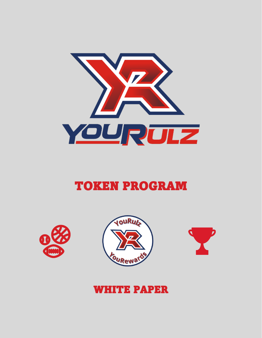

## TOKEN PROGRAM







### WHITE PAPER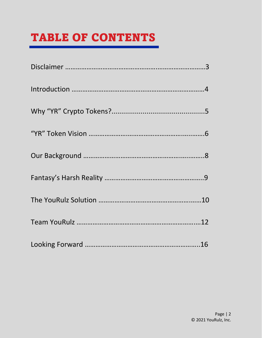# TABLE OF CONTENTS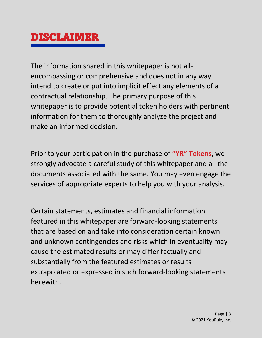### DISCLAIMER

The information shared in this whitepaper is not allencompassing or comprehensive and does not in any way intend to create or put into implicit effect any elements of a contractual relationship. The primary purpose of this whitepaper is to provide potential token holders with pertinent information for them to thoroughly analyze the project and make an informed decision.

Prior to your participation in the purchase of **"YR" Tokens**, we strongly advocate a careful study of this whitepaper and all the documents associated with the same. You may even engage the services of appropriate experts to help you with your analysis.

Certain statements, estimates and financial information featured in this whitepaper are forward-looking statements that are based on and take into consideration certain known and unknown contingencies and risks which in eventuality may cause the estimated results or may differ factually and substantially from the featured estimates or results extrapolated or expressed in such forward-looking statements herewith.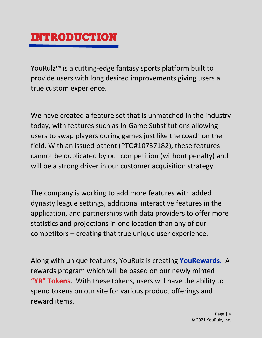### INTRODUCTION

YouRulz™ is a cutting-edge fantasy sports platform built to provide users with long desired improvements giving users a true custom experience.

We have created a feature set that is unmatched in the industry today, with features such as In-Game Substitutions allowing users to swap players during games just like the coach on the field. With an issued patent (PTO#10737182), these features cannot be duplicated by our competition (without penalty) and will be a strong driver in our customer acquisition strategy.

The company is working to add more features with added dynasty league settings, additional interactive features in the application, and partnerships with data providers to offer more statistics and projections in one location than any of our competitors – creating that true unique user experience.

Along with unique features, YouRulz is creating **YouRewards.** A rewards program which will be based on our newly minted **"YR" Tokens**. With these tokens, users will have the ability to spend tokens on our site for various product offerings and reward items.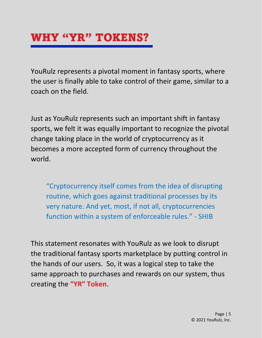## WHY "YR" TOKENS?

YouRulz represents a pivotal moment in fantasy sports, where the user is finally able to take control of their game, similar to a coach on the field.

Just as YouRulz represents such an important shift in fantasy sports, we felt it was equally important to recognize the pivotal change taking place in the world of cryptocurrency as it becomes a more accepted form of currency throughout the world.

"Cryptocurrency itself comes from the idea of disrupting routine, which goes against traditional processes by its very nature. And yet, most, if not all, cryptocurrencies function within a system of enforceable rules." - SHIB

This statement resonates with YouRulz as we look to disrupt the traditional fantasy sports marketplace by putting control in the hands of our users. So, it was a logical step to take the same approach to purchases and rewards on our system, thus creating the **"YR" Token**.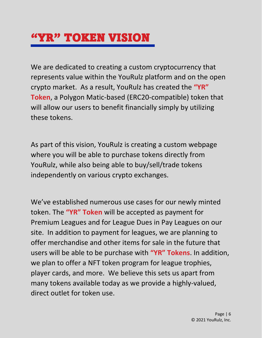## **"YR" TOKEN VISION**

We are dedicated to creating a custom cryptocurrency that represents value within the YouRulz platform and on the open crypto market. As a result, YouRulz has created the **"YR" Token**, a Polygon Matic-based (ERC20-compatible) token that will allow our users to benefit financially simply by utilizing these tokens.

As part of this vision, YouRulz is creating a custom webpage where you will be able to purchase tokens directly from YouRulz, while also being able to buy/sell/trade tokens independently on various crypto exchanges.

We've established numerous use cases for our newly minted token. The **"YR" Token** will be accepted as payment for Premium Leagues and for League Dues in Pay Leagues on our site. In addition to payment for leagues, we are planning to offer merchandise and other items for sale in the future that users will be able to be purchase with **"YR" Tokens**. In addition, we plan to offer a NFT token program for league trophies, player cards, and more. We believe this sets us apart from many tokens available today as we provide a highly-valued, direct outlet for token use.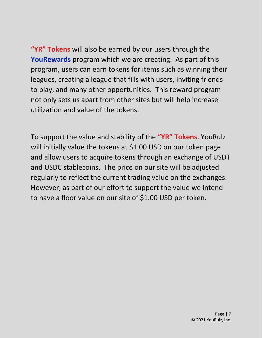**"YR" Tokens** will also be earned by our users through the **YouRewards** program which we are creating. As part of this program, users can earn tokens for items such as winning their leagues, creating a league that fills with users, inviting friends to play, and many other opportunities. This reward program not only sets us apart from other sites but will help increase utilization and value of the tokens.

To support the value and stability of the **"YR" Tokens**, YouRulz will initially value the tokens at \$1.00 USD on our token page and allow users to acquire tokens through an exchange of USDT and USDC stablecoins. The price on our site will be adjusted regularly to reflect the current trading value on the exchanges. However, as part of our effort to support the value we intend to have a floor value on our site of \$1.00 USD per token.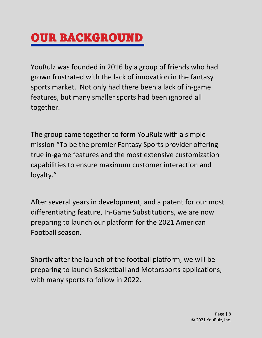## OUR BACKGROUND

YouRulz was founded in 2016 by a group of friends who had grown frustrated with the lack of innovation in the fantasy sports market. Not only had there been a lack of in-game features, but many smaller sports had been ignored all together.

The group came together to form YouRulz with a simple mission "To be the premier Fantasy Sports provider offering true in-game features and the most extensive customization capabilities to ensure maximum customer interaction and loyalty."

After several years in development, and a patent for our most differentiating feature, In-Game Substitutions, we are now preparing to launch our platform for the 2021 American Football season.

Shortly after the launch of the football platform, we will be preparing to launch Basketball and Motorsports applications, with many sports to follow in 2022.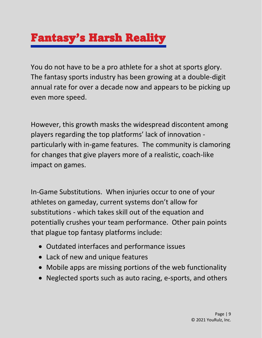# Fantasy's Harsh Reality

You do not have to be a pro athlete for a shot at sports glory. The fantasy sports industry has been growing at a double-digit annual rate for over a decade now and appears to be picking up even more speed.

However, this growth masks the widespread discontent among players regarding the top platforms' lack of innovation particularly with in-game features. The community is clamoring for changes that give players more of a realistic, coach-like impact on games.

In-Game Substitutions. When injuries occur to one of your athletes on gameday, current systems don't allow for substitutions - which takes skill out of the equation and potentially crushes your team performance. Other pain points that plague top fantasy platforms include:

- Outdated interfaces and performance issues
- Lack of new and unique features
- Mobile apps are missing portions of the web functionality
- Neglected sports such as auto racing, e-sports, and others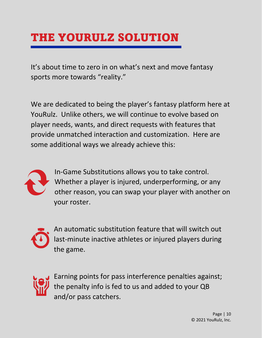# THE YOURULZ SOLUTION

It's about time to zero in on what's next and move fantasy sports more towards "reality."

We are dedicated to being the player's fantasy platform here at YouRulz. Unlike others, we will continue to evolve based on player needs, wants, and direct requests with features that provide unmatched interaction and customization. Here are some additional ways we already achieve this:



In-Game Substitutions allows you to take control. Whether a player is injured, underperforming, or any other reason, you can swap your player with another on your roster.



An automatic substitution feature that will switch out last-minute inactive athletes or injured players during the game.



Earning points for pass interference penalties against; the penalty info is fed to us and added to your QB and/or pass catchers.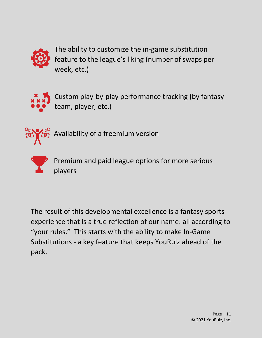

The ability to customize the in-game substitution feature to the league's liking (number of swaps per week, etc.)



Custom play-by-play performance tracking (by fantasy team, player, etc.)



Availability of a freemium version



Premium and paid league options for more serious players

The result of this developmental excellence is a fantasy sports experience that is a true reflection of our name: all according to "your rules." This starts with the ability to make In-Game Substitutions - a key feature that keeps YouRulz ahead of the pack.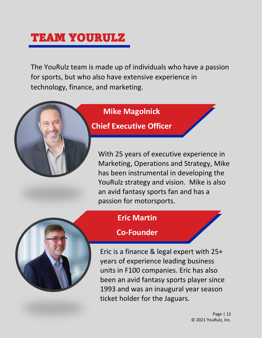## TEAM YOURULZ

The YouRulz team is made up of individuals who have a passion for sports, but who also have extensive experience in technology, finance, and marketing.



#### **Chief Executive Officer**

With 25 years of executive experience in Marketing, Operations and Strategy, Mike has been instrumental in developing the YouRulz strategy and vision. Mike is also an avid fantasy sports fan and has a passion for motorsports.



#### **Co-Founder**

Eric is a finance & legal expert with 25+ years of experience leading business units in F100 companies. Eric has also been an avid fantasy sports player since 1993 and was an inaugural year season ticket holder for the Jaguars.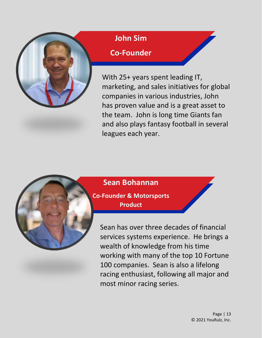

#### **John Sim**

### **Co-Founder**

With 25+ years spent leading IT, marketing, and sales initiatives for global companies in various industries, John has proven value and is a great asset to the team. John is long time Giants fan and also plays fantasy football in several leagues each year.



**Co-Founder & Motorsports Product**

**Sean Bohannan**

Sean has over three decades of financial services systems experience. He brings a wealth of knowledge from his time working with many of the top 10 Fortune 100 companies. Sean is also a lifelong racing enthusiast, following all major and most minor racing series.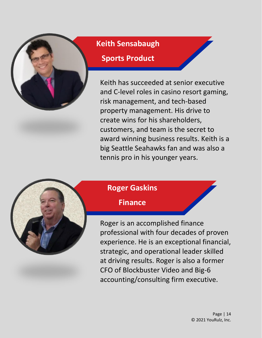

### **Keith Sensabaugh**

#### **Sports Product**

Keith has succeeded at senior executive and C-level roles in casino resort gaming, risk management, and tech-based property management. His drive to create wins for his shareholders, customers, and team is the secret to award winning business results. Keith is a big Seattle Seahawks fan and was also a tennis pro in his younger years.



### **Roger Gaskins**

#### **Finance**

Roger is an accomplished finance professional with four decades of proven experience. He is an exceptional financial, strategic, and operational leader skilled at driving results. Roger is also a former CFO of Blockbuster Video and Big-6 accounting/consulting firm executive.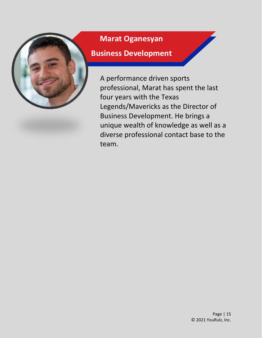

### **Marat Oganesyan**

#### **Business Development**

A performance driven sports professional, Marat has spent the last four years with the Texas Legends/Mavericks as the Director of Business Development. He brings a unique wealth of knowledge as well as a diverse professional contact base to the team.